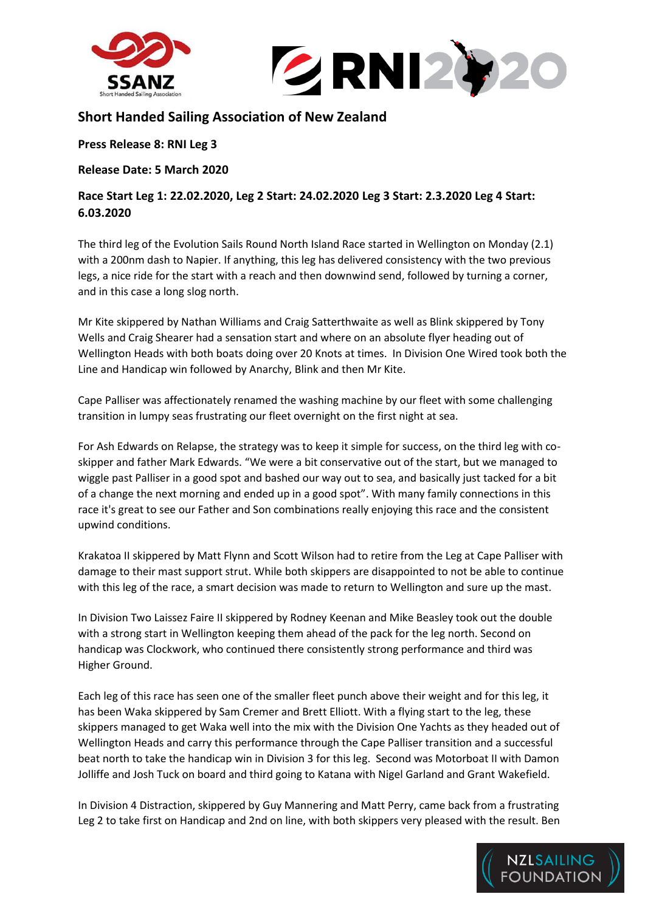



## **Short Handed Sailing Association of New Zealand**

**Press Release 8: RNI Leg 3**

**Release Date: 5 March 2020**

**Race Start Leg 1: 22.02.2020, Leg 2 Start: 24.02.2020 Leg 3 Start: 2.3.2020 Leg 4 Start: 6.03.2020**

The third leg of the Evolution Sails Round North Island Race started in Wellington on Monday (2.1) with a 200nm dash to Napier. If anything, this leg has delivered consistency with the two previous legs, a nice ride for the start with a reach and then downwind send, followed by turning a corner, and in this case a long slog north.

Mr Kite skippered by Nathan Williams and Craig Satterthwaite as well as Blink skippered by Tony Wells and Craig Shearer had a sensation start and where on an absolute flyer heading out of Wellington Heads with both boats doing over 20 Knots at times. In Division One Wired took both the Line and Handicap win followed by Anarchy, Blink and then Mr Kite.

Cape Palliser was affectionately renamed the washing machine by our fleet with some challenging transition in lumpy seas frustrating our fleet overnight on the first night at sea.

For Ash Edwards on Relapse, the strategy was to keep it simple for success, on the third leg with coskipper and father Mark Edwards. "We were a bit conservative out of the start, but we managed to wiggle past Palliser in a good spot and bashed our way out to sea, and basically just tacked for a bit of a change the next morning and ended up in a good spot". With many family connections in this race it's great to see our Father and Son combinations really enjoying this race and the consistent upwind conditions.

Krakatoa II skippered by Matt Flynn and Scott Wilson had to retire from the Leg at Cape Palliser with damage to their mast support strut. While both skippers are disappointed to not be able to continue with this leg of the race, a smart decision was made to return to Wellington and sure up the mast.

In Division Two Laissez Faire II skippered by Rodney Keenan and Mike Beasley took out the double with a strong start in Wellington keeping them ahead of the pack for the leg north. Second on handicap was Clockwork, who continued there consistently strong performance and third was Higher Ground.

Each leg of this race has seen one of the smaller fleet punch above their weight and for this leg, it has been Waka skippered by Sam Cremer and Brett Elliott. With a flying start to the leg, these skippers managed to get Waka well into the mix with the Division One Yachts as they headed out of Wellington Heads and carry this performance through the Cape Palliser transition and a successful beat north to take the handicap win in Division 3 for this leg. Second was Motorboat II with Damon Jolliffe and Josh Tuck on board and third going to Katana with Nigel Garland and Grant Wakefield.

In Division 4 Distraction, skippered by Guy Mannering and Matt Perry, came back from a frustrating Leg 2 to take first on Handicap and 2nd on line, with both skippers very pleased with the result. Ben

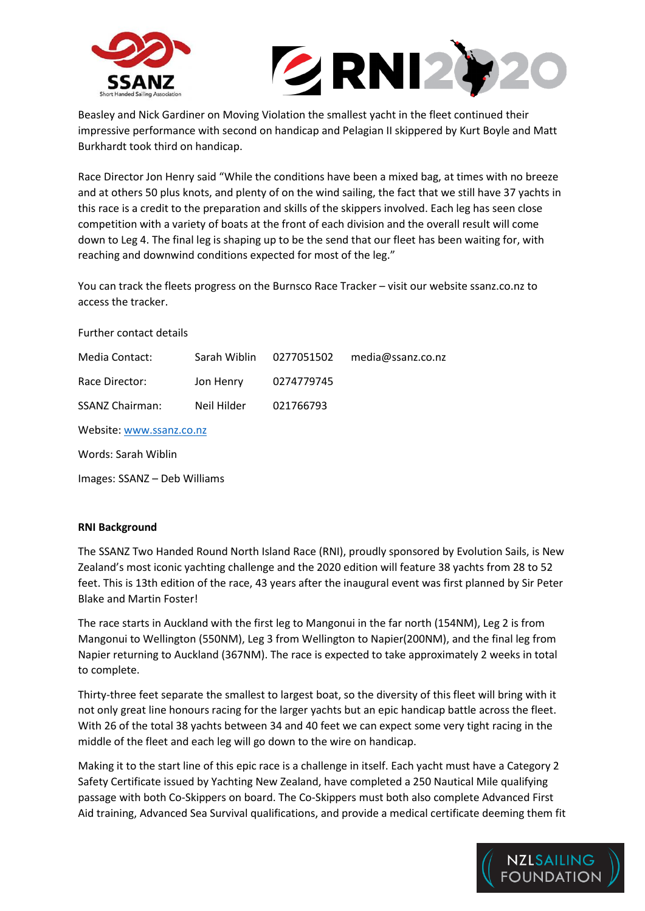



Beasley and Nick Gardiner on Moving Violation the smallest yacht in the fleet continued their impressive performance with second on handicap and Pelagian II skippered by Kurt Boyle and Matt Burkhardt took third on handicap.

Race Director Jon Henry said "While the conditions have been a mixed bag, at times with no breeze and at others 50 plus knots, and plenty of on the wind sailing, the fact that we still have 37 yachts in this race is a credit to the preparation and skills of the skippers involved. Each leg has seen close competition with a variety of boats at the front of each division and the overall result will come down to Leg 4. The final leg is shaping up to be the send that our fleet has been waiting for, with reaching and downwind conditions expected for most of the leg."

You can track the fleets progress on the Burnsco Race Tracker – visit our website ssanz.co.nz to access the tracker.

Further contact details

| Media Contact:         |             | Sarah Wiblin 0277051502 | media@ssanz.co.nz |
|------------------------|-------------|-------------------------|-------------------|
| Race Director:         | Jon Henry   | 0274779745              |                   |
| <b>SSANZ Chairman:</b> | Neil Hilder | 021766793               |                   |
|                        |             |                         |                   |

Website[: www.ssanz.co.nz](http://www.ssanz.co.nz/)

Words: Sarah Wiblin

Images: SSANZ – Deb Williams

## **RNI Background**

The SSANZ Two Handed Round North Island Race (RNI), proudly sponsored by Evolution Sails, is New Zealand's most iconic yachting challenge and the 2020 edition will feature 38 yachts from 28 to 52 feet. This is 13th edition of the race, 43 years after the inaugural event was first planned by Sir Peter Blake and Martin Foster!

The race starts in Auckland with the first leg to Mangonui in the far north (154NM), Leg 2 is from Mangonui to Wellington (550NM), Leg 3 from Wellington to Napier(200NM), and the final leg from Napier returning to Auckland (367NM). The race is expected to take approximately 2 weeks in total to complete.

Thirty-three feet separate the smallest to largest boat, so the diversity of this fleet will bring with it not only great line honours racing for the larger yachts but an epic handicap battle across the fleet. With 26 of the total 38 yachts between 34 and 40 feet we can expect some very tight racing in the middle of the fleet and each leg will go down to the wire on handicap.

Making it to the start line of this epic race is a challenge in itself. Each yacht must have a Category 2 Safety Certificate issued by Yachting New Zealand, have completed a 250 Nautical Mile qualifying passage with both Co-Skippers on board. The Co-Skippers must both also complete Advanced First Aid training, Advanced Sea Survival qualifications, and provide a medical certificate deeming them fit